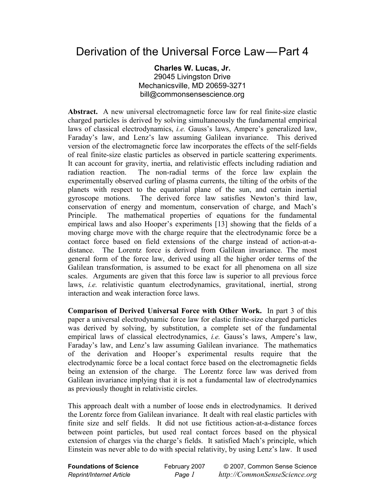## Derivation of the Universal Force Law—Part 4

**Charles W. Lucas, Jr.**  29045 Livingston Drive Mechanicsville, MD 20659-3271 bill@commonsensescience.org

**Abstract.** A new universal electromagnetic force law for real finite-size elastic charged particles is derived by solving simultaneously the fundamental empirical laws of classical electrodynamics, *i.e.* Gauss's laws, Ampere's generalized law, Faraday's law, and Lenz's law assuming Galilean invariance. This derived version of the electromagnetic force law incorporates the effects of the self-fields of real finite-size elastic particles as observed in particle scattering experiments. It can account for gravity, inertia, and relativistic effects including radiation and radiation reaction. The non-radial terms of the force law explain the experimentally observed curling of plasma currents, the tilting of the orbits of the planets with respect to the equatorial plane of the sun, and certain inertial gyroscope motions. The derived force law satisfies Newton's third law, conservation of energy and momentum, conservation of charge, and Mach's Principle. The mathematical properties of equations for the fundamental empirical laws and also Hooper's experiments [13] showing that the fields of a moving charge move with the charge require that the electrodynamic force be a contact force based on field extensions of the charge instead of action-at-adistance. The Lorentz force is derived from Galilean invariance. The most general form of the force law, derived using all the higher order terms of the Galilean transformation, is assumed to be exact for all phenomena on all size scales. Arguments are given that this force law is superior to all previous force laws, *i.e.* relativistic quantum electrodynamics, gravitational, inertial, strong interaction and weak interaction force laws.

**Comparison of Derived Universal Force with Other Work.** In part 3 of this paper a universal electrodynamic force law for elastic finite-size charged particles was derived by solving, by substitution, a complete set of the fundamental empirical laws of classical electrodynamics, *i.e.* Gauss's laws, Ampere's law, Faraday's law, and Lenz's law assuming Galilean invariance. The mathematics of the derivation and Hooper's experimental results require that the electrodynamic force be a local contact force based on the electromagnetic fields being an extension of the charge. The Lorentz force law was derived from Galilean invariance implying that it is not a fundamental law of electrodynamics as previously thought in relativistic circles.

This approach dealt with a number of loose ends in electrodynamics. It derived the Lorentz force from Galilean invariance. It dealt with real elastic particles with finite size and self fields. It did not use fictitious action-at-a-distance forces between point particles, but used real contact forces based on the physical extension of charges via the charge's fields. It satisfied Mach's principle, which Einstein was never able to do with special relativity, by using Lenz's law. It used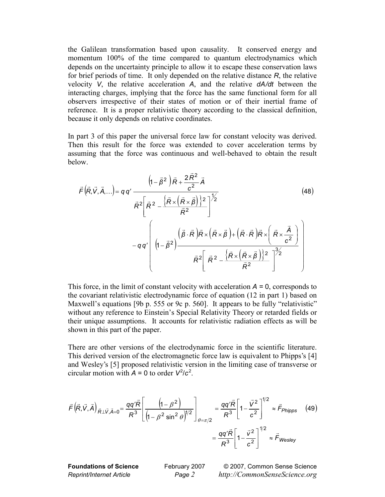the Galilean transformation based upon causality. It conserved energy and momentum 100% of the time compared to quantum electrodynamics which depends on the uncertainty principle to allow it to escape these conservation laws for brief periods of time. It only depended on the relative distance *R*, the relative velocity *V*, the relative acceleration *A*, and the relative *dA/dt* between the interacting charges, implying that the force has the same functional form for all observers irrespective of their states of motion or of their inertial frame of reference. It is a proper relativistic theory according to the classical definition, because it only depends on relative coordinates.

In part 3 of this paper the universal force law for constant velocity was derived. Then this result for the force was extended to cover acceleration terms by assuming that the force was continuous and well-behaved to obtain the result below.

 $\sim$ 

$$
\vec{F}(\vec{R}, \vec{V}, \vec{A}, \ldots) = q q' \frac{\left(1 - \vec{\beta}^2\right) \vec{R} + \frac{2 \vec{R}^2}{c^2} \vec{A}}{\vec{R}^2 \left[\vec{R}^2 - \frac{\left\{\vec{R} \times \left(\vec{R} \times \vec{\beta}\right)\right\}^2}{\vec{R}^2}\right]^{1/2}} - q q' \left(1 - \vec{\beta}^2\right) \frac{\left(\vec{\beta} \cdot \vec{R}\right) \vec{R} \times \left(\vec{R} \times \vec{\beta}\right) + \left(\vec{R} \cdot \vec{R}\right) \vec{R} \times \left(\vec{R} \times \frac{\vec{A}}{c^2}\right)}{\vec{R}^2 \left[\vec{R}^2 - \frac{\left\{\vec{R} \times \left(\vec{R} \times \vec{\beta}\right)\right\}^2}{\vec{R}^2}\right]^{3/2}}
$$
\n(48)

This force, in the limit of constant velocity with acceleration  $A = 0$ , corresponds to the covariant relativistic electrodynamic force of equation (12 in part 1) based on Maxwell's equations [9b p. 555 or 9c p. 560]. It appears to be fully "relativistic" without any reference to Einstein's Special Relativity Theory or retarded fields or their unique assumptions. It accounts for relativistic radiation effects as will be shown in this part of the paper.

There are other versions of the electrodynamic force in the scientific literature. This derived version of the electromagnetic force law is equivalent to Phipps's [4] and Wesley's [5] proposed relativistic version in the limiting case of transverse or circular motion with  $A = 0$  to order  $V^2/c^2$ .

$$
\vec{F}(\vec{R}, \vec{V}, \vec{A})_{\vec{R} \perp \vec{V}, \vec{A} = 0} = \frac{qq'\vec{R}}{R^3} \left[ \frac{\left(1 - \beta^2\right)}{\left(1 - \beta^2 \sin^2\theta\right)^{1/2}} \right]_{\theta = \pi/2} = \frac{qq'\vec{R}}{R^3} \left[ 1 - \frac{\vec{V}^2}{c^2} \right]^{1/2} \approx \vec{F}_{Phipps} \quad (49)
$$
\n
$$
= \frac{qq'\vec{R}}{R^3} \left[ 1 - \frac{\vec{V}^2}{c^2} \right]^{1/2} \approx \vec{F}_{Wesley}
$$

**Foundations of Science** February 2007 © 2007, Common Sense Science *Reprint/Internet Article Page 2 http://CommonSenseScience.org*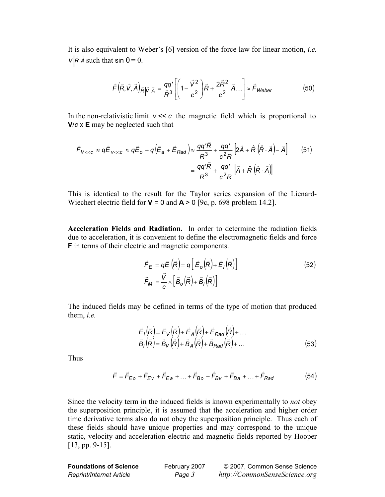It is also equivalent to Weber's [6] version of the force law for linear motion, *i.e.*  $\vec{V}$  *R*<sup> $\parallel$ </sup> *A* such that sin  $\theta = 0$ .

$$
\vec{F}\left(\vec{R},\vec{V},\vec{A}\right)_{\vec{R}}\|\vec{V}\|\vec{A} = \frac{qq'}{\vec{R}^3} \left[\left(1-\frac{\vec{V}^2}{c^2}\right)\vec{R} + \frac{2\vec{R}^2}{c^2}\vec{A}...\right] \approx \vec{F}_{Weber}
$$
(50)

In the non-relativistic limit  $v \ll c$  the magnetic field which is proportional to **V**/*c* x **E** may be neglected such that

$$
\vec{F}_{V << c} \approx q \vec{E}_{V << c} \approx q \vec{E}_{o} + q \left( \vec{E}_{a} + \vec{E}_{Rad} \right) \approx \frac{qq' \vec{R}}{R^{3}} + \frac{qq'}{c^{2}R} \left[ 2\vec{A} + \hat{R} \left( \hat{R} \cdot \vec{A} \right) - \vec{A} \right]
$$
(51)  

$$
= \frac{qq' \vec{R}}{R^{3}} + \frac{qq'}{c^{2}R} \left[ \vec{A} + \hat{R} \left( \hat{R} \cdot \vec{A} \right) \right]
$$

This is identical to the result for the Taylor series expansion of the Lienard-Wiechert electric field for  $V = 0$  and  $A > 0$  [9c, p. 698 problem 14.2].

**Acceleration Fields and Radiation.** In order to determine the radiation fields due to acceleration, it is convenient to define the electromagnetic fields and force **F** in terms of their electric and magnetic components.

$$
\vec{F}_E = q\vec{E}(\vec{R}) = q\left[\vec{E}_o(\vec{R}) + \vec{E}_i(\vec{R})\right]
$$
\n
$$
\vec{F}_M = \frac{\vec{V}}{c} \times \left[\vec{B}_o(\vec{R}) + \vec{B}_i(\vec{R})\right]
$$
\n(52)

The induced fields may be defined in terms of the type of motion that produced them, *i.e.*

$$
\vec{E}_i(\vec{R}) = \vec{E}_V(\vec{R}) + \vec{E}_A(\vec{R}) + \vec{E}_{Rad}(\vec{R}) + \dots \n\vec{B}_i(\vec{R}) = \vec{B}_V(\vec{R}) + \vec{B}_A(\vec{R}) + \vec{B}_{Rad}(\vec{R}) + \dots
$$
\n(53)

Thus

$$
\vec{F} = \vec{F}_{E0} + \vec{F}_{EV} + \vec{F}_{Ea} + ... + \vec{F}_{Bo} + \vec{F}_{BV} + \vec{F}_{Ba} + ... + \vec{F}_{Rad}
$$
(54)

Since the velocity term in the induced fields is known experimentally to *not* obey the superposition principle, it is assumed that the acceleration and higher order time derivative terms also do not obey the superposition principle. Thus each of these fields should have unique properties and may correspond to the unique static, velocity and acceleration electric and magnetic fields reported by Hooper [13, pp. 9-15].

| <b>Foundations of Science</b>   | February 2007 | © 2007, Common Sense Science  |
|---------------------------------|---------------|-------------------------------|
| <b>Reprint/Internet Article</b> | Page 3        | http://CommonSenseScience.org |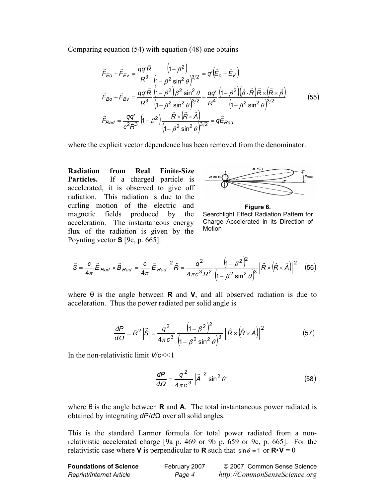Comparing equation (54) with equation (48) one obtains

$$
\vec{F}_{E0} + \vec{F}_{EV} = \frac{qq'\vec{R}}{R^3} \frac{\left(1 - \beta^2\right)}{\left(1 - \beta^2 \sin^2 \theta\right)^{3/2}} = q'\left(\vec{E}_0 + \vec{E}_V\right)
$$
\n
$$
\vec{F}_{B0} + \vec{F}_{BV} = \frac{qq'\vec{R}}{R^3} \frac{\left(1 - \beta^2\right)\beta^2 \sin^2 \theta}{\left(1 - \beta^2\right)\beta^2 \sin^2 \theta} + \frac{qq'\left(1 - \beta^2\right)\left(\vec{\beta} \cdot \vec{R}\right)\vec{R} \times \left(\vec{R} \times \vec{\beta}\right)}{\left(1 - \beta^2 \sin^2 \theta\right)^{3/2}} \vec{F}_{R4}
$$
\n
$$
\vec{F}_{Rad} = \frac{qq'}{c^2 R^3} \left(1 - \beta^2\right) \frac{\vec{R} \times \left(\vec{R} \times \vec{A}\right)}{\left(1 - \beta^2 \sin^2 \theta\right)^{3/2}} = q\vec{E}_{Rad}
$$
\n(55)

where the explicit vector dependence has been removed from the denominator.

**Radiation from Real Finite-Size Particles.** If a charged particle is accelerated, it is observed to give off radiation. This radiation is due to the curling motion of the electric and magnetic fields produced by the acceleration. The instantaneous energy flux of the radiation is given by the Poynting vector **S** [9c, p. 665].



**Figure 6.**  Searchlight Effect Radiation Pattern for Charge Accelerated in its Direction of Motion

$$
\vec{S} = \frac{c}{4\pi} \vec{E}_{Rad} \times \vec{B}_{Rad} = \frac{c}{4\pi} \left| \vec{E}_{Rad} \right|^2 \hat{R} = \frac{q^2}{4\pi c^3 R^2} \frac{\left(1 - \beta^2\right)^2}{\left(1 - \beta^2 \sin^2 \theta\right)^3} \left| \hat{R} \times \left(\hat{R} \times \vec{A}\right) \right|^2 \quad (56)
$$

where  $\theta$  is the angle between **R** and **V**, and all observed radiation is due to acceleration. Thus the power radiated per solid angle is

$$
\frac{dP}{d\Omega} = R^2 \left| \vec{S} \right| = \frac{q^2}{4\pi c^3} \frac{\left(1 - \beta^2\right)^2}{\left(1 - \beta^2 \sin^2 \theta\right)^3} \left| \hat{R} \times \left(\hat{R} \times \vec{A}\right) \right|^2 \tag{57}
$$

In the non-relativistic limit *V*/c<<1

$$
\frac{dP}{d\Omega} = \frac{q^2}{4\pi c^3} |\vec{A}|^2 \sin^2 \theta' \tag{58}
$$

where  $\theta$  is the angle between **R** and **A**. The total instantaneous power radiated is obtained by integrating *dP*/*d*Ω over all solid angles.

This is the standard Larmor formula for total power radiated from a nonrelativistic accelerated charge [9a p. 469 or 9b p. 659 or 9c, p. 665]. For the relativistic case where **V** is perpendicular to **R** such that  $\sin \theta = 1$  or  $\mathbf{R} \cdot \mathbf{V} = 0$ 

| <b>Foundations of Science</b> | February 2007 | © 2007, Common Sense Science  |
|-------------------------------|---------------|-------------------------------|
| Reprint/Internet Article      | Page 4        | http://CommonSenseScience.org |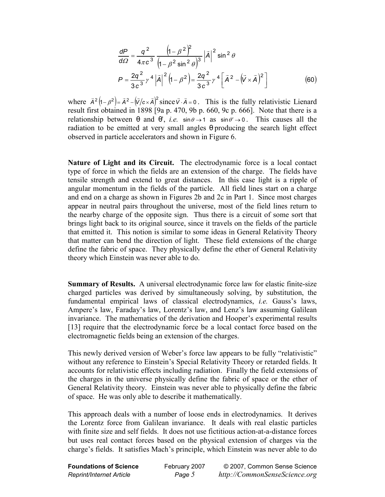$$
\frac{dP}{d\Omega} = \frac{q^2}{4\pi c^3} \frac{\left(1 - \beta^2\right)^2}{\left(1 - \beta^2 \sin^2 \theta\right)^3} |\vec{A}|^2 \sin^2 \theta
$$
\n
$$
P = \frac{2q^2}{3c^3} \gamma^4 |\vec{A}|^2 \left(1 - \beta^2\right) = \frac{2q^2}{3c^3} \gamma^4 \left[ \vec{A}^2 - (\vec{V} \times \vec{A})^2 \right]
$$
\n(60)

where  $\vec{A}^2 (1 - \beta^2) = \vec{A}^2 - (\vec{V}/c \times \vec{A})^2$  since  $\vec{V} \cdot \vec{A} = 0$ . This is the fully relativistic Lienard result first obtained in 1898 [9a p. 470, 9b p. 660, 9c p. 666]. Note that there is a relationship between  $\theta$  and  $\theta'$ , *i.e.*  $\sin \theta \rightarrow 1$  as  $\sin \theta' \rightarrow 0$ . This causes all the radiation to be emitted at very small angles θ producing the search light effect observed in particle accelerators and shown in Figure 6.

**Nature of Light and its Circuit.** The electrodynamic force is a local contact type of force in which the fields are an extension of the charge. The fields have tensile strength and extend to great distances. In this case light is a ripple of angular momentum in the fields of the particle. All field lines start on a charge and end on a charge as shown in Figures 2b and 2c in Part 1. Since most charges appear in neutral pairs throughout the universe, most of the field lines return to the nearby charge of the opposite sign. Thus there is a circuit of some sort that brings light back to its original source, since it travels on the fields of the particle that emitted it. This notion is similar to some ideas in General Relativity Theory that matter can bend the direction of light. These field extensions of the charge define the fabric of space. They physically define the ether of General Relativity theory which Einstein was never able to do.

**Summary of Results.** A universal electrodynamic force law for elastic finite-size charged particles was derived by simultaneously solving, by substitution, the fundamental empirical laws of classical electrodynamics, *i.e.* Gauss's laws, Ampere's law, Faraday's law, Lorentz's law, and Lenz's law assuming Galilean invariance. The mathematics of the derivation and Hooper's experimental results [13] require that the electrodynamic force be a local contact force based on the electromagnetic fields being an extension of the charges.

This newly derived version of Weber's force law appears to be fully "relativistic" without any reference to Einstein's Special Relativity Theory or retarded fields. It accounts for relativistic effects including radiation. Finally the field extensions of the charges in the universe physically define the fabric of space or the ether of General Relativity theory. Einstein was never able to physically define the fabric of space. He was only able to describe it mathematically.

This approach deals with a number of loose ends in electrodynamics. It derives the Lorentz force from Galilean invariance. It deals with real elastic particles with finite size and self fields. It does not use fictitious action-at-a-distance forces but uses real contact forces based on the physical extension of charges via the charge's fields. It satisfies Mach's principle, which Einstein was never able to do

| Foundations of Science   |  |
|--------------------------|--|
| Reprint/Internet Article |  |